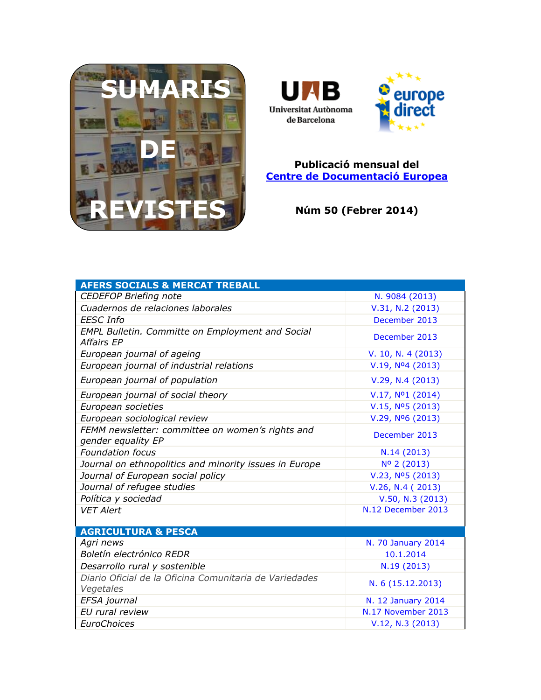



## **Publicació mensual del [Centre de Documentació Europea](http://www.uab.cat/biblioteques/cde/)**

**Núm 50 (Febrer 2014)**

| <b>AFERS SOCIALS &amp; MERCAT TREBALL</b>                              |                              |
|------------------------------------------------------------------------|------------------------------|
| <b>CEDEFOP Briefing note</b>                                           | N. 9084 (2013)               |
| Cuadernos de relaciones laborales                                      | V.31, N.2 (2013)             |
| <b>EESC</b> Info                                                       | December 2013                |
| <b>EMPL Bulletin. Committe on Employment and Social</b><br>Affairs EP  | December 2013                |
| European journal of ageing                                             | V. 10, N. 4 $(2013)$         |
| European journal of industrial relations                               | V.19, N <sup>o</sup> 4(2013) |
| European journal of population                                         | V.29, N.4 (2013)             |
| European journal of social theory                                      | V.17, N <sup>o</sup> 1(2014) |
| European societies                                                     | V.15, N <sup>o</sup> 5(2013) |
| European sociological review                                           | V.29, Nº6 (2013)             |
| FEMM newsletter: committee on women's rights and<br>gender equality EP | December 2013                |
| <b>Foundation focus</b>                                                | N.14 (2013)                  |
| Journal on ethnopolitics and minority issues in Europe                 | Nº 2 (2013)                  |
| Journal of European social policy                                      | V.23, Nº5 (2013)             |
| Journal of refugee studies                                             | V.26, N.4 (2013)             |
| Política y sociedad                                                    | V.50, N.3 (2013)             |
| <b>VET Alert</b>                                                       | N.12 December 2013           |
|                                                                        |                              |
| <b>AGRICULTURA &amp; PESCA</b>                                         |                              |
| Agri news                                                              | N. 70 January 2014           |
| Boletín electrónico REDR                                               | 10.1.2014                    |
| Desarrollo rural y sostenible                                          | N.19 (2013)                  |
| Diario Oficial de la Oficina Comunitaria de Variedades<br>Vegetales    | N. 6 (15.12.2013)            |
| EFSA journal                                                           | N. 12 January 2014           |
| EU rural review                                                        | N.17 November 2013           |
| EuroChoices                                                            | V.12, N.3 (2013)             |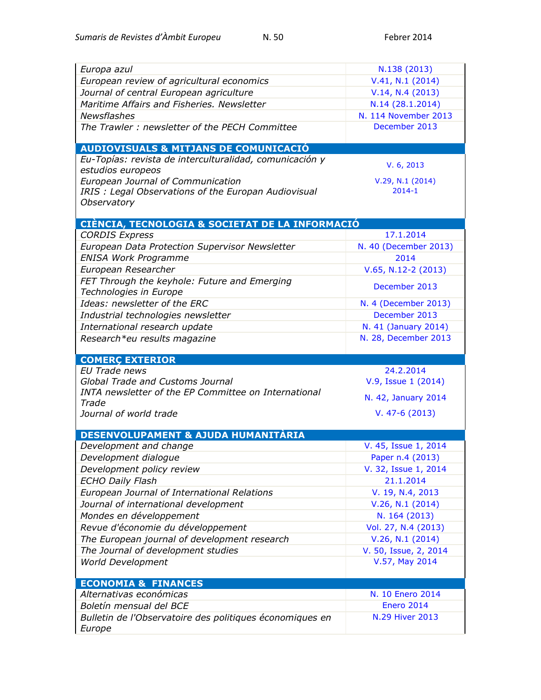| Europa azul                                              | N.138 (2013)           |
|----------------------------------------------------------|------------------------|
| European review of agricultural economics                | V.41, N.1 (2014)       |
| Journal of central European agriculture                  | V.14, N.4 (2013)       |
| Maritime Affairs and Fisheries. Newsletter               | N.14 (28.1.2014)       |
| <b>Newsflashes</b>                                       | N. 114 November 2013   |
| The Trawler: newsletter of the PECH Committee            | December 2013          |
|                                                          |                        |
| <b>AUDIOVISUALS &amp; MITJANS DE COMUNICACIÓ</b>         |                        |
| Eu-Topías: revista de interculturalidad, comunicación y  |                        |
| estudios europeos                                        | V. 6, 2013             |
| European Journal of Communication                        | V.29, N.1 (2014)       |
| IRIS : Legal Observations of the Europan Audiovisual     | $2014 - 1$             |
| Observatory                                              |                        |
|                                                          |                        |
| CIÈNCIA, TECNOLOGIA & SOCIETAT DE LA INFORMACIÓ          |                        |
| <b>CORDIS Express</b>                                    | 17.1.2014              |
| European Data Protection Supervisor Newsletter           | N. 40 (December 2013)  |
| <b>ENISA Work Programme</b>                              | 2014                   |
| European Researcher                                      | $V.65, N.12-2$ (2013)  |
| FET Through the keyhole: Future and Emerging             |                        |
| Technologies in Europe                                   | December 2013          |
| Ideas: newsletter of the ERC                             | N. 4 (December 2013)   |
| Industrial technologies newsletter                       | December 2013          |
| International research update                            | N. 41 (January 2014)   |
| Research*eu results magazine                             | N. 28, December 2013   |
|                                                          |                        |
|                                                          |                        |
| <b>COMERÇ EXTERIOR</b>                                   |                        |
| EU Trade news                                            | 24.2.2014              |
| Global Trade and Customs Journal                         | V.9, Issue 1 (2014)    |
| INTA newsletter of the EP Committee on International     |                        |
| Trade                                                    | N. 42, January 2014    |
| Journal of world trade                                   | $V. 47-6(2013)$        |
|                                                          |                        |
| DESENVOLUPAMENT & AJUDA HUMANITÀRIA                      |                        |
| Development and change                                   | V. 45, Issue 1, 2014   |
| Development dialogue                                     | Paper n.4 (2013)       |
| Development policy review                                | V. 32, Issue 1, 2014   |
| <b>ECHO Daily Flash</b>                                  | 21.1.2014              |
| European Journal of International Relations              | V. 19, N.4, 2013       |
| Journal of international development                     | V.26, N.1 (2014)       |
| Mondes en développement                                  | N. 164 (2013)          |
| Revue d'économie du développement                        | Vol. 27, N.4 (2013)    |
| The European journal of development research             | V.26, N.1 (2014)       |
| The Journal of development studies                       | V. 50, Issue, 2, 2014  |
| World Development                                        | V.57, May 2014         |
|                                                          |                        |
| <b>ECONOMIA &amp; FINANCES</b>                           |                        |
| Alternativas económicas                                  | N. 10 Enero 2014       |
| Boletín mensual del BCE                                  | <b>Enero 2014</b>      |
| Bulletin de l'Observatoire des politiques économiques en | <b>N.29 Hiver 2013</b> |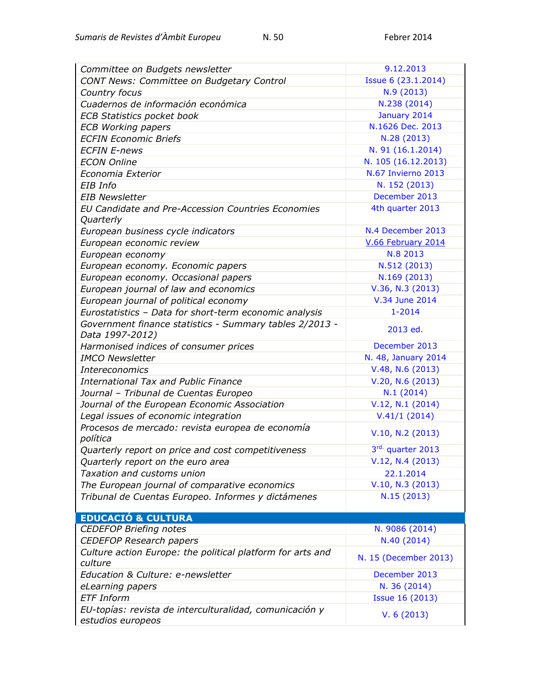| Committee on Budgets newsletter                                            | 9.12.2013              |
|----------------------------------------------------------------------------|------------------------|
| CONT News: Committee on Budgetary Control                                  | Issue 6 (23.1.2014)    |
| Country focus                                                              | N.9(2013)              |
| Cuadernos de información económica                                         | N.238 (2014)           |
| <b>ECB Statistics pocket book</b>                                          | January 2014           |
| <b>ECB Working papers</b>                                                  | N.1626 Dec. 2013       |
| <b>ECFIN Economic Briefs</b>                                               | N.28 (2013)            |
| <b>ECFIN E-news</b>                                                        | N. 91 (16.1.2014)      |
| <b>ECON Online</b>                                                         | N. 105 (16.12.2013)    |
| Economia Exterior                                                          | N.67 Invierno 2013     |
| EIB Info                                                                   | N. 152 (2013)          |
| <b>EIB Newsletter</b>                                                      | December 2013          |
| EU Candidate and Pre-Accession Countries Economies<br>Quarterly            | 4th quarter 2013       |
| European business cycle indicators                                         | N.4 December 2013      |
| European economic review                                                   | V.66 February 2014     |
| European economy                                                           | N.8 2013               |
| European economy. Economic papers                                          | N.512 (2013)           |
| European economy. Occasional papers                                        | N.169 (2013)           |
| European journal of law and economics                                      | V.36, N.3 (2013)       |
| European journal of political economy                                      | V.34 June 2014         |
| Eurostatistics - Data for short-term economic analysis                     | $1 - 2014$             |
| Government finance statistics - Summary tables 2/2013 -<br>Data 1997-2012) | 2013 ed.               |
| Harmonised indices of consumer prices                                      | December 2013          |
| <b>IMCO Newsletter</b>                                                     | N. 48, January 2014    |
| <b>Intereconomics</b>                                                      | V.48, N.6(2013)        |
| <b>International Tax and Public Finance</b>                                | V.20, N.6(2013)        |
| Journal - Tribunal de Cuentas Europeo                                      | N.1(2014)              |
| Journal of the European Economic Association                               | V.12, N.1 (2014)       |
| Legal issues of economic integration                                       | V.41/1(2014)           |
| Procesos de mercado: revista europea de economía                           | V.10, N.2 (2013)       |
| política                                                                   |                        |
| Quarterly report on price and cost competitiveness                         | 3rd. quarter 2013      |
| Quarterly report on the euro area                                          | V.12, N.4 (2013)       |
| Taxation and customs union                                                 | 22.1.2014              |
| The European journal of comparative economics                              | V.10, N.3 (2013)       |
| Tribunal de Cuentas Europeo. Informes y dictámenes                         | N.15(2013)             |
| <b>EDUCACIÓ &amp; CULTURA</b>                                              |                        |
| <b>CEDEFOP Briefing notes</b>                                              | N. 9086 (2014)         |
| <b>CEDEFOP Research papers</b>                                             | N.40 (2014)            |
| Culture action Europe: the political platform for arts and<br>culture      | N. 15 (December 2013)  |
| Education & Culture: e-newsletter                                          | December 2013          |
| eLearning papers                                                           | N. 36 (2014)           |
| <b>ETF Inform</b>                                                          | <b>Issue 16 (2013)</b> |
| EU-topías: revista de interculturalidad, comunicación y                    |                        |
| estudios europeos                                                          | V. 6(2013)             |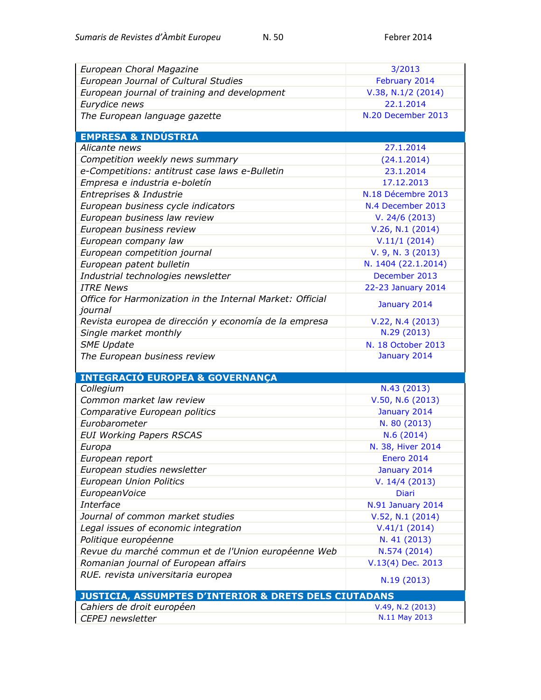| European Choral Magazine                                                                      | 3/2013                          |
|-----------------------------------------------------------------------------------------------|---------------------------------|
| European Journal of Cultural Studies                                                          | February 2014                   |
| European journal of training and development                                                  | $V.38, N.1/2$ (2014)            |
| Eurydice news                                                                                 | 22.1.2014                       |
| The European language gazette                                                                 | N.20 December 2013              |
|                                                                                               |                                 |
| <b>EMPRESA &amp; INDÚSTRIA</b>                                                                |                                 |
| Alicante news                                                                                 | 27.1.2014                       |
| Competition weekly news summary                                                               | (24.1.2014)                     |
| e-Competitions: antitrust case laws e-Bulletin                                                | 23.1.2014                       |
| Empresa e industria e-boletín                                                                 | 17.12.2013                      |
| Entreprises & Industrie                                                                       | N.18 Décembre 2013              |
| European business cycle indicators                                                            | N.4 December 2013               |
| European business law review                                                                  | V. 24/6(2013)                   |
| European business review                                                                      | V.26, N.1 (2014)                |
| European company law                                                                          | V.11/1(2014)                    |
| European competition journal                                                                  | V. 9, N. 3 (2013)               |
| European patent bulletin                                                                      | N. 1404 (22.1.2014)             |
| Industrial technologies newsletter                                                            | December 2013                   |
| <b>ITRE News</b>                                                                              | 22-23 January 2014              |
| Office for Harmonization in the Internal Market: Official                                     |                                 |
| journal                                                                                       | January 2014                    |
| Revista europea de dirección y economía de la empresa                                         | V.22, N.4 (2013)                |
| Single market monthly                                                                         | N.29 (2013)                     |
| <b>SME Update</b>                                                                             | N. 18 October 2013              |
| The European business review                                                                  | January 2014                    |
|                                                                                               |                                 |
| <b>INTEGRACIÓ EUROPEA &amp; GOVERNANÇA</b>                                                    |                                 |
| Collegium                                                                                     | N.43 (2013)                     |
| Common market law review                                                                      | $V.50, N.6$ (2013)              |
| Comparative European politics                                                                 | January 2014                    |
| Eurobarometer                                                                                 | N. 80 (2013)                    |
| <b>EUI Working Papers RSCAS</b>                                                               | N.6(2014)                       |
| Europa                                                                                        | N. 38, Hiver 2014<br>Enero 2014 |
| European report                                                                               |                                 |
|                                                                                               |                                 |
| European studies newsletter                                                                   | January 2014                    |
| European Union Politics                                                                       | V. 14/4 (2013)                  |
| EuropeanVoice                                                                                 | <b>Diari</b>                    |
| Interface                                                                                     | N.91 January 2014               |
| Journal of common market studies                                                              | V.52, N.1 (2014)                |
| Legal issues of economic integration                                                          | V.41/1(2014)                    |
| Politique européenne                                                                          | N. 41 (2013)                    |
| Revue du marché commun et de l'Union européenne Web                                           | N.574 (2014)                    |
| Romanian journal of European affairs                                                          | V.13(4) Dec. 2013               |
| RUE. revista universitaria europea                                                            | N.19 (2013)                     |
|                                                                                               |                                 |
| <b>JUSTICIA, ASSUMPTES D'INTERIOR &amp; DRETS DELS CIUTADANS</b><br>Cahiers de droit européen | V.49, N.2 (2013)                |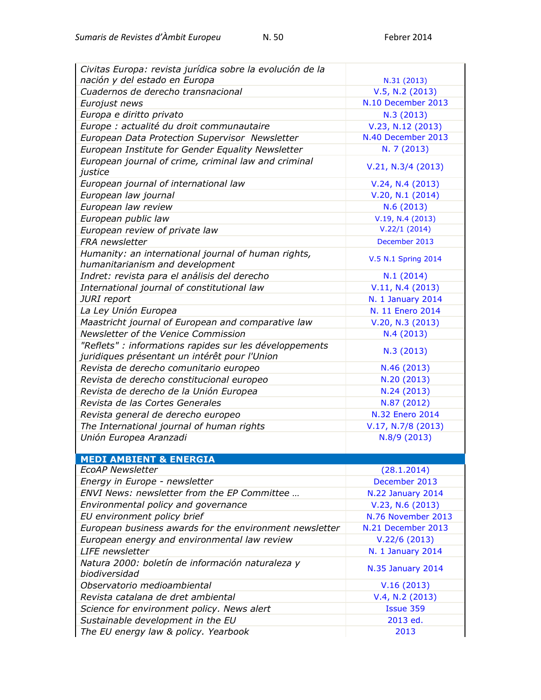| Civitas Europa: revista jurídica sobre la evolución de la                                                |                          |
|----------------------------------------------------------------------------------------------------------|--------------------------|
| nación y del estado en Europa                                                                            | N.31 (2013)              |
| Cuadernos de derecho transnacional                                                                       | V.5, N.2 (2013)          |
| Eurojust news                                                                                            | N.10 December 2013       |
| Europa e diritto privato                                                                                 | N.3(2013)                |
| Europe : actualité du droit communautaire                                                                | V.23, N.12 (2013)        |
| European Data Protection Supervisor Newsletter                                                           | N.40 December 2013       |
| European Institute for Gender Equality Newsletter                                                        | N. 7 (2013)              |
| European journal of crime, criminal law and criminal<br>justice                                          | V.21, N.3/4 (2013)       |
| European journal of international law                                                                    | V.24, N.4 (2013)         |
| European law journal                                                                                     | V.20, N.1 (2014)         |
| European law review                                                                                      | N.6(2013)                |
| European public law                                                                                      | V.19, N.4 (2013)         |
| European review of private law                                                                           | V.22/1(2014)             |
| FRA newsletter                                                                                           | December 2013            |
| Humanity: an international journal of human rights,<br>humanitarianism and development                   | V.5 N.1 Spring 2014      |
| Indret: revista para el análisis del derecho                                                             | N.1(2014)                |
| International journal of constitutional law                                                              | V.11, N.4 (2013)         |
| JURI report                                                                                              | <b>N. 1 January 2014</b> |
| La Ley Unión Europea                                                                                     | N. 11 Enero 2014         |
| Maastricht journal of European and comparative law                                                       | V.20, N.3 (2013)         |
| Newsletter of the Venice Commission                                                                      | N.4(2013)                |
| "Reflets" : informations rapides sur les développements<br>juridiques présentant un intérêt pour l'Union | N.3(2013)                |
| Revista de derecho comunitario europeo                                                                   | N.46 (2013)              |
| Revista de derecho constitucional europeo                                                                | N.20 (2013)              |
| Revista de derecho de la Unión Europea                                                                   | N.24 (2013)              |
| Revista de las Cortes Generales                                                                          | N.87 (2012)              |
| Revista general de derecho europeo                                                                       | N.32 Enero 2014          |
| The International journal of human rights                                                                | $V.17, N.7/8$ (2013)     |
| Unión Europea Aranzadi                                                                                   | N.8/9 (2013)             |
|                                                                                                          |                          |
| <b>MEDI AMBIENT &amp; ENERGIA</b>                                                                        |                          |
| <b>EcoAP Newsletter</b>                                                                                  | (28.1.2014)              |
| Energy in Europe - newsletter                                                                            | December 2013            |
| ENVI News: newsletter from the EP Committee                                                              | N.22 January 2014        |
| Environmental policy and governance                                                                      | V.23, N.6 (2013)         |
| EU environment policy brief                                                                              | N.76 November 2013       |
| European business awards for the environment newsletter                                                  | N.21 December 2013       |
| European energy and environmental law review                                                             | V.22/6(2013)             |
| <b>LIFE</b> newsletter                                                                                   | N. 1 January 2014        |
| Natura 2000: boletín de información naturaleza y<br>biodiversidad                                        | N.35 January 2014        |
| Observatorio medioambiental                                                                              | V.16(2013)               |
| Revista catalana de dret ambiental                                                                       | V.4, N.2 (2013)          |
| Science for environment policy. News alert                                                               | Issue 359                |
| Sustainable development in the EU                                                                        | 2013 ed.                 |
| The EU energy law & policy. Yearbook                                                                     | 2013                     |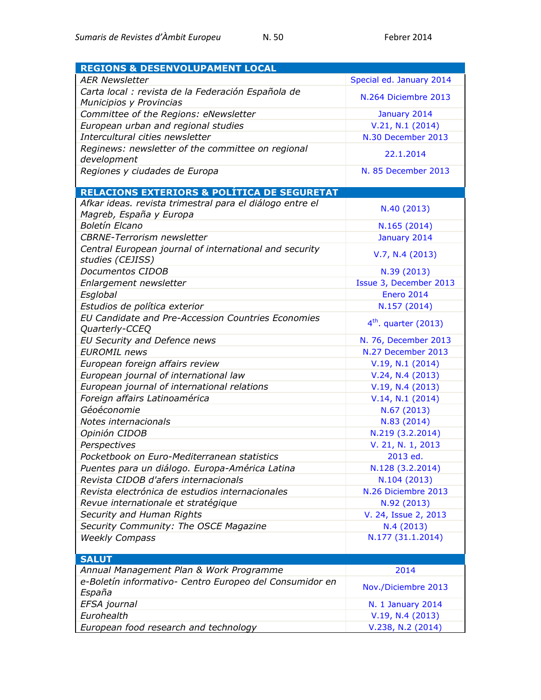| <b>REGIONS &amp; DESENVOLUPAMENT LOCAL</b>                                    |                          |
|-------------------------------------------------------------------------------|--------------------------|
| <b>AER Newsletter</b>                                                         | Special ed. January 2014 |
| Carta local : revista de la Federación Española de<br>Municipios y Provincias | N.264 Diciembre 2013     |
| Committee of the Regions: eNewsletter                                         | January 2014             |
| European urban and regional studies                                           | V.21, N.1 (2014)         |
| Intercultural cities newsletter                                               | N.30 December 2013       |
| Reginews: newsletter of the committee on regional                             |                          |
| development                                                                   | 22.1.2014                |
| Regiones y ciudades de Europa                                                 | N. 85 December 2013      |
|                                                                               |                          |
| <b>RELACIONS EXTERIORS &amp; POLÍTICA DE SEGURETAT</b>                        |                          |
| Afkar ideas. revista trimestral para el diálogo entre el                      | N.40 (2013)              |
| Magreb, España y Europa<br><b>Boletín Elcano</b>                              |                          |
|                                                                               | N.165 (2014)             |
| <b>CBRNE-Terrorism newsletter</b>                                             | January 2014             |
| Central European journal of international and security<br>studies (CEJISS)    | V.7, N.4 (2013)          |
| Documentos CIDOB                                                              | N.39 (2013)              |
| Enlargement newsletter                                                        | Issue 3, December 2013   |
| Esglobal                                                                      | <b>Enero 2014</b>        |
| Estudios de política exterior                                                 | N.157 (2014)             |
| EU Candidate and Pre-Accession Countries Economies<br>Quarterly-CCEQ          | $4th$ . quarter (2013)   |
| EU Security and Defence news                                                  | N. 76, December 2013     |
| <b>EUROMIL</b> news                                                           | N.27 December 2013       |
| European foreign affairs review                                               | V.19, N.1 (2014)         |
| European journal of international law                                         | V.24, N.4 (2013)         |
| European journal of international relations                                   | V.19, N.4(2013)          |
| Foreign affairs Latinoamérica                                                 | V.14, N.1 (2014)         |
| Géoéconomie                                                                   | N.67 (2013)              |
| Notes internacionals                                                          | N.83 (2014)              |
| Opinión CIDOB                                                                 | N.219 (3.2.2014)         |
| Perspectives                                                                  | V. 21, N. 1, 2013        |
| Pocketbook on Euro-Mediterranean statistics                                   | 2013 ed.                 |
| Puentes para un diálogo. Europa-América Latina                                | N.128 (3.2.2014)         |
| Revista CIDOB d'afers internacionals                                          | N.104 (2013)             |
| Revista electrónica de estudios internacionales                               | N.26 Diciembre 2013      |
| Revue internationale et stratégique                                           | N.92 (2013)              |
| Security and Human Rights                                                     | V. 24, Issue 2, 2013     |
| Security Community: The OSCE Magazine                                         | N.4 (2013)               |
| <b>Weekly Compass</b>                                                         | N.177 (31.1.2014)        |
|                                                                               |                          |
| <b>SALUT</b>                                                                  |                          |
| Annual Management Plan & Work Programme                                       | 2014                     |
| e-Boletín informativo- Centro Europeo del Consumidor en<br>España             | Nov./Diciembre 2013      |
| EFSA journal                                                                  | N. 1 January 2014        |
| Eurohealth                                                                    | V.19, N.4 (2013)         |
| European food research and technology                                         | V.238, N.2 (2014)        |